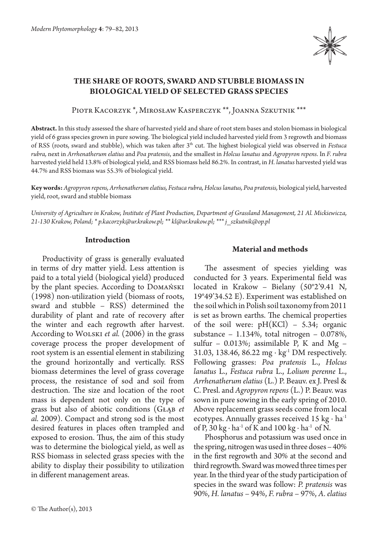

# **The share of roots, sward and stubble biomass in biological yield of selected grass species**

Piotr Kacorzyk \*, Mirosław Kasperczyk \*\*, Joanna Szkutnik \*\*\*

**Abstract.** In this study assessed the share of harvested yield and share of root stem bases and stolon biomass in biological yield of 6 grass species grown in pure sowing. The biological yield included harvested yield from 3 regrowth and biomass of RSS (roots, sward and stubble), which was taken after 3th cut. The highest biological yield was observed in *Festuca rubra,* next in *Arrhenatherum elatius* and *Poa pratensis*, and the smallest in *Holcus lanatus* and *Agropyron repens*. In *F. rubra* harvested yield held 13.8% of biological yield, and RSS biomass held 86.2%. In contrast, in *H. lanatus* harvested yield was 44.7% and RSS biomass was 55.3% of biological yield.

**Key words:** *Agropyron repens, Arrhenatherum elatius, Festuca rubra, Holcus lanatus, Poa pratensis,* biological yield, harvested yield, root, sward and stubble biomass

*University of Agriculture in Krakow, Institute of Plant Production, Department of Grassland Management, 21 Al. Mickiewicza, 21-130 Krakow, Poland; \* p.kacorzyk@ur.krakow.pl; \*\* kl@ur.krakow.pl; \*\*\* j\_szkutnik@op.pl*

## **Introduction**

Productivity of grass is generally evaluated in terms of dry matter yield. Less attention is paid to a total yield (biological yield) produced by the plant species. According to Domański (1998) non-utilization yield (biomass of roots, sward and stubble – RSS) determined the durability of plant and rate of recovery after the winter and each regrowth after harvest. According to Wolski *et al.* (2006) in the grass coverage process the proper development of root system is an essential element in stabilizing the ground horizontally and vertically. RSS biomass determines the level of grass coverage process, the resistance of sod and soil from destruction. The size and location of the root mass is dependent not only on the type of grass but also of abiotic conditions (Głąb *et al.* 2009). Compact and strong sod is the most desired features in places often trampled and exposed to erosion. Thus, the aim of this study was to determine the biological yield, as well as RSS biomass in selected grass species with the ability to display their possibility to utilization in different management areas.

## **Material and methods**

The assesment of species yielding was conducted for 3 years. Experimental field was located in Krakow – Bielany (50°2'9.41 N, 19°49'34.52 E). Experiment was established on the soil which in Polish soil taxonomy from 2011 is set as brown earths. The chemical properties of the soil were:  $pH(KCl)$  – 5.34; organic substance – 1.134%, total nitrogen – 0.078%, sulfur – 0.013%; assimilable P, K and Mg – 31.03, 138.46, 86.22 mg ⋅ kg<sup>-1</sup> DM respectively. Following grasses: *Poa pratensis* L., *Holcus lanatus* L., *Festuca rubra* L., *Lolium perenne* L., *Arrhenatherum elatius* (L.) P. Beauv. ex J. Presl & C. Presl. and *Agropyron repens* (L.) P. Beauv. was sown in pure sowing in the early spring of 2010. Above replacement grass seeds come from local ecotypes. Annually grasses received 15 kg  $\cdot$  ha<sup>-1</sup> of P, 30 kg ⋅ ha<sup>-1</sup> of K and 100 kg ⋅ ha<sup>-1</sup> of N.

Phosphorus and potassium was used once in the spring, nitrogen was used in three doses – 40% in the first regrowth and 30% at the second and third regrowth. Sward was mowed three times per year. In the third year of the study participation of species in the sward was follow: *P. pratensis* was 90%, *H. lanatus* – 94%, *F. rubra* – 97%, *A. elatius*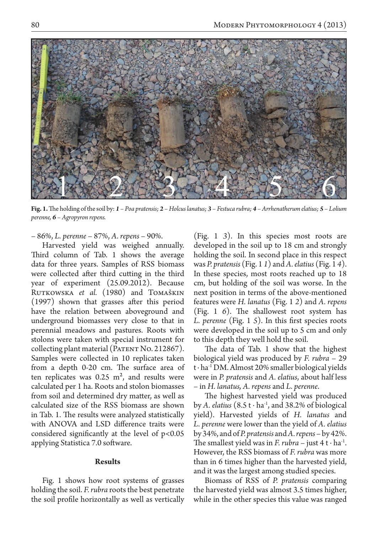

**Fig. 1.** The holding of the soil by: *1 – Poa pratensis; 2 – Holcus lanatus; 3 – Festuca rubra; 4 – Arrhenatherum elatius; 5 – Lolium perenne, 6 – Agropyron repens.*

– 86%, *L. perenne* – 87%, *A. repens* – 90%.

Harvested yield was weighed annually. Third column of Tab. 1 shows the average data for three years. Samples of RSS biomass were collected after third cutting in the third year of experiment (25.09.2012). Because RUTKOWSKA *et al.* (1980) and TOMAŠKIN (1997) shown that grasses after this period have the relation between aboveground and underground biomasses very close to that in perennial meadows and pastures. Roots with stolons were taken with special instrument for collecting plant material (PATENT No. 212867). Samples were collected in 10 replicates taken from a depth 0-20 cm. The surface area of ten replicates was  $0.25 \text{ m}^2$ , and results were calculated per 1 ha. Roots and stolon biomasses from soil and determined dry matter, as well as calculated size of the RSS biomass are shown in Tab. 1. The results were analyzed statistically with ANOVA and LSD difference traits were considered significantly at the level of  $p<0.05$ applying Statistica 7.0 software.

## **Results**

Fig. 1 shows how root systems of grasses holding the soil. *F. rubra* roots the best penetrate the soil profile horizontally as well as vertically (Fig. 1 *3*). In this species most roots are developed in the soil up to 18 cm and strongly holding the soil. In second place in this respect was *P. pratensis* (Fig. 1 *1*) and *A. elatius* (Fig. 1 *4*). In these species, most roots reached up to 18 cm, but holding of the soil was worse. In the next position in terms of the above-mentioned features were *H. lanatus* (Fig. 1 *2*) and *A. repens*  (Fig. 1 *6*). The shallowest root system has *L. perenne* (Fig. 1 *5*). In this first species roots were developed in the soil up to 5 cm and only to this depth they well hold the soil.

The data of Tab. 1 show that the highest biological yield was produced by *F. rubra* – 29 t ∙ ha-1 DM. Almost 20% smaller biological yields were in *P. pratensis* and *A. elatius*, about half less – in *H. lanatus, A. repens* and *L. perenne*.

The highest harvested yield was produced by *A. elatius* (8.5 t ∙ ha-1, and 38.2% of biological yield). Harvested yields of *H. lanatus* and *L. perenne* were lower than the yield of *A. elatius*  by 34%, and of *P. pratensis* and *A. repens* – by 42%. The smallest yield was in *F. rubra* – just  $4t \cdot ha^{-1}$ . However, the RSS biomass of *F. rubra* was more than in 6 times higher than the harvested yield, and it was the largest among studied species.

Biomass of RSS of *P. pratensis* comparing the harvested yield was almost 3.5 times higher, while in the other species this value was ranged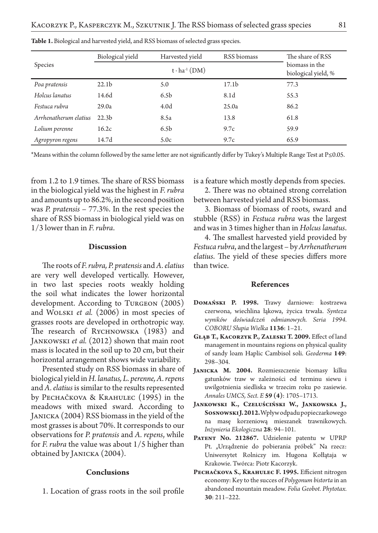| <b>Species</b>        | Biological yield      | Harvested yield  | RSS biomass       | The share of RSS                      |
|-----------------------|-----------------------|------------------|-------------------|---------------------------------------|
|                       | $t \cdot ha^{-1}(DM)$ |                  |                   | biomass in the<br>biological yield, % |
| Poa pratensis         | 22.1 <sub>b</sub>     | 5.0              | 17.1 <sub>b</sub> | 77.3                                  |
| Holcus lanatus        | 14.6d                 | 6.5 <sub>b</sub> | 8.1d              | 55.3                                  |
| Festuca rubra         | 29.0a                 | 4.0 <sub>d</sub> | 25.0a             | 86.2                                  |
| Arrhenatherum elatius | 22.3 <sub>b</sub>     | 8.5a             | 13.8              | 61.8                                  |
| Lolium perenne        | 16.2c                 | 6.5 <sub>b</sub> | 9.7c              | 59.9                                  |
| Agropyron regens      | 14.7d                 | 5.0c             | 9.7c              | 65.9                                  |

**Table 1.** Biological and harvested yield, and RSS biomass of selected grass species.

\*Means within the column followed by the same letter are not significantly differ by Tukey's Multiple Range Test at P≤0.05.

from 1.2 to 1.9 times. The share of RSS biomass in the biological yield was the highest in *F. rubra*  and amounts up to 86.2%, in the second position was *P. pratensis* – 77.3%. In the rest species the share of RSS biomass in biological yield was on 1/3 lower than in *F. rubra*.

#### **Discussion**

The roots of *F. rubra, P. pratensis* and *A. elatius* are very well developed vertically. However, in two last species roots weakly holding the soil what indicates the lower horizontal development. According to TURGEON (2005) and Wolski *et al.* (2006) in most species of grasses roots are developed in orthotropic way. The research of RYCHNOWSKA (1983) and Jankowski *et al.* (2012) shown that main root mass is located in the soil up to 20 cm, but their horizontal arrangement shows wide variability.

Presented study on RSS biomass in share of biological yield in *H. lanatus, L. perenne, A. repens*  and *A. elatius* is similar to the results represented by Pechačkova & Krahulec (1995) in the meadows with mixed sward. According to JANICKA (2004) RSS biomass in the yield of the most grasses is about 70%. It corresponds to our observations for *P. pratensis* and *A. repens*, while for *F. rubra* the value was about 1/5 higher than obtained by Janicka (2004).

## **Conclusions**

1. Location of grass roots in the soil profile

is a feature which mostly depends from species.

2. There was no obtained strong correlation between harvested yield and RSS biomass.

3. Biomass of biomass of roots, sward and stubble (RSS) in *Festuca rubra* was the largest and was in 3 times higher than in *Holcus lanatus*.

4. The smallest harvested yield provided by *Festuca rubra*, and the largest – by *Arrhenatherum elatius*. The yield of these species differs more than twice.

#### **References**

- **Domański P. 1998.** Trawy darniowe: kostrzewa czerwona, wiechlina łąkowa, życica trwała. *Synteza wyników doświadczeń odmianowych. Seria 1994. COBORU Słupia Wielka* **1136**: 1–21.
- **Głąb T., Kacorzyk P., Zaleski T. 2009.** Effect of land management in mountains regions on physical quality of sandy loam Haplic Cambisol soli. *Geoderma* **149**: 298–304.
- **Janicka M. 2004.** Rozmieszczenie biomasy kilku gatunków traw w zależności od terminu siewu i uwilgotnienia siedliska w trzecim roku po zasiewie. *Annales UMCS, Sect. E* **59 (4)**: 1705–1713.
- **Jankowski K., Czeluściński W., Jankowska J., Sosnowski J. 2012.** Wpływ odpadu popieczarkowego na masę korzeniową mieszanek trawnikowych. *Inżynieria Ekologiczna* **28**: 94–101.
- **Patent No. 212867.** Udzielenie patentu w UPRP Pt. "Urządzenie do pobierania próbek" Na rzecz: Uniwersytet Rolniczy im. Hugona Kołłątaja w Krakowie. Twórca: Piotr Kacorzyk.
- **Pechačkova S., Krahulec F. 1995.** Efficient nitrogen economy: Key to the succes of *Polygonum bistorta* in an abandoned mountain meadow. *Folia Geobot. Phytotax.* **30**: 211–222.